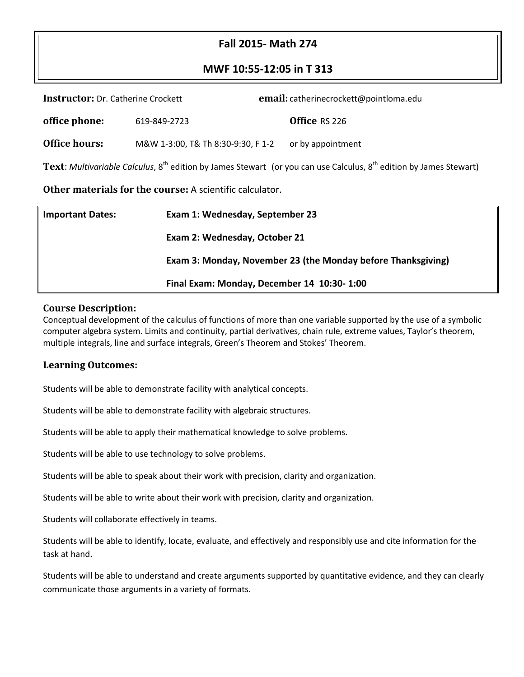# **Fall 2015- Math 274**

# **MWF 10:55-12:05 in T 313**

| <b>Instructor:</b> Dr. Catherine Crockett |                                    | email: catherinecrockett@pointloma.edu |                                                                                                                                     |  |
|-------------------------------------------|------------------------------------|----------------------------------------|-------------------------------------------------------------------------------------------------------------------------------------|--|
| office phone:                             | 619-849-2723                       |                                        | Office RS 226                                                                                                                       |  |
| <b>Office hours:</b>                      | M&W 1-3:00, T& Th 8:30-9:30, F 1-2 |                                        | or by appointment                                                                                                                   |  |
|                                           |                                    |                                        | <b>Text:</b> Multivariable Calculus, $8^{th}$ edition by James Stewart (or you can use Calculus, $8^{th}$ edition by James Stewart) |  |

**Other materials for the course:** A scientific calculator.

| <b>Important Dates:</b> | Exam 1: Wednesday, September 23                              |  |
|-------------------------|--------------------------------------------------------------|--|
|                         | Exam 2: Wednesday, October 21                                |  |
|                         | Exam 3: Monday, November 23 (the Monday before Thanksgiving) |  |
|                         | Final Exam: Monday, December 14 10:30-1:00                   |  |

#### **Course Description:**

Conceptual development of the calculus of functions of more than one variable supported by the use of a symbolic computer algebra system. Limits and continuity, partial derivatives, chain rule, extreme values, Taylor's theorem, multiple integrals, line and surface integrals, Green's Theorem and Stokes' Theorem.

#### **Learning Outcomes:**

Students will be able to demonstrate facility with analytical concepts.

Students will be able to demonstrate facility with algebraic structures.

Students will be able to apply their mathematical knowledge to solve problems.

Students will be able to use technology to solve problems.

Students will be able to speak about their work with precision, clarity and organization.

Students will be able to write about their work with precision, clarity and organization.

Students will collaborate effectively in teams.

Students will be able to identify, locate, evaluate, and effectively and responsibly use and cite information for the task at hand.

Students will be able to understand and create arguments supported by quantitative evidence, and they can clearly communicate those arguments in a variety of formats.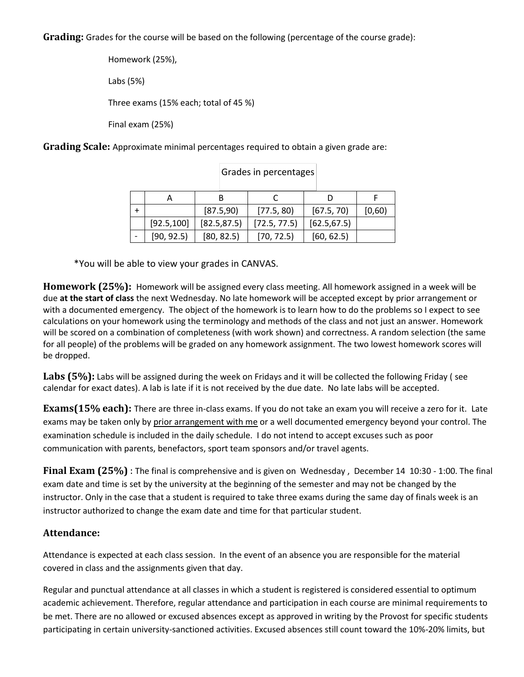**Grading:** Grades for the course will be based on the following (percentage of the course grade):

Homework (25%), Labs (5%) Three exams (15% each; total of 45 %) Final exam (25%)

**Grading Scale:** Approximate minimal percentages required to obtain a given grade are:

|             | [87.5,90]    | [77.5, 80]   | [67.5, 70]   | [0,60) |
|-------------|--------------|--------------|--------------|--------|
| [92.5, 100] | [82.5, 87.5] | [72.5, 77.5] | [62.5, 67.5] |        |
| [90, 92.5]  | [80, 82.5]   | [70, 72.5]   | [60, 62.5]   |        |

Grades in percentages

\*You will be able to view your grades in CANVAS.

**Homework (25%):** Homework will be assigned every class meeting. All homework assigned in a week will be due **at the start of class** the next Wednesday. No late homework will be accepted except by prior arrangement or with a documented emergency. The object of the homework is to learn how to do the problems so I expect to see calculations on your homework using the terminology and methods of the class and not just an answer. Homework will be scored on a combination of completeness (with work shown) and correctness. A random selection (the same for all people) of the problems will be graded on any homework assignment. The two lowest homework scores will be dropped.

**Labs (5%):** Labs will be assigned during the week on Fridays and it will be collected the following Friday ( see calendar for exact dates). A lab is late if it is not received by the due date. No late labs will be accepted.

**Exams(15% each):** There are three in-class exams. If you do not take an exam you will receive a zero for it. Late exams may be taken only by prior arrangement with me or a well documented emergency beyond your control. The examination schedule is included in the daily schedule. I do not intend to accept excuses such as poor communication with parents, benefactors, sport team sponsors and/or travel agents.

**Final Exam (25%)** : The final is comprehensive and is given on Wednesday , December 14 10:30 - 1:00. The final exam date and time is set by the university at the beginning of the semester and may not be changed by the instructor. Only in the case that a student is required to take three exams during the same day of finals week is an instructor authorized to change the exam date and time for that particular student.

# **Attendance:**

Attendance is expected at each class session. In the event of an absence you are responsible for the material covered in class and the assignments given that day.

Regular and punctual attendance at all classes in which a student is registered is considered essential to optimum academic achievement. Therefore, regular attendance and participation in each course are minimal requirements to be met. There are no allowed or excused absences except as approved in writing by the Provost for specific students participating in certain university-sanctioned activities. Excused absences still count toward the 10%-20% limits, but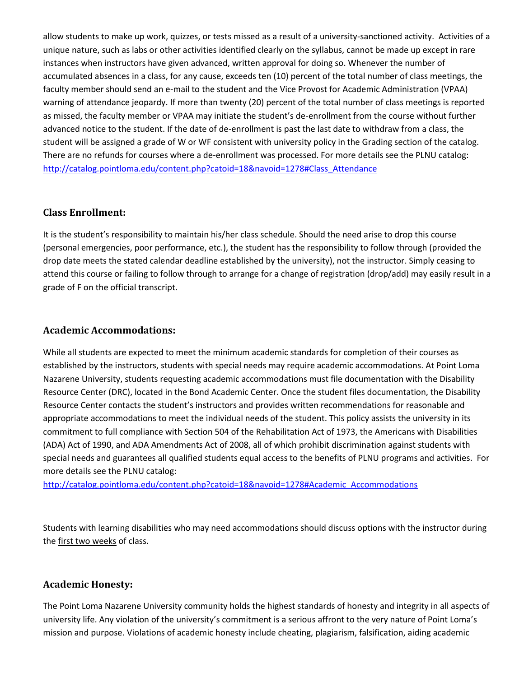allow students to make up work, quizzes, or tests missed as a result of a university-sanctioned activity. Activities of a unique nature, such as labs or other activities identified clearly on the syllabus, cannot be made up except in rare instances when instructors have given advanced, written approval for doing so. Whenever the number of accumulated absences in a class, for any cause, exceeds ten (10) percent of the total number of class meetings, the faculty member should send an e-mail to the student and the Vice Provost for Academic Administration (VPAA) warning of attendance jeopardy. If more than twenty (20) percent of the total number of class meetings is reported as missed, the faculty member or VPAA may initiate the student's de-enrollment from the course without further advanced notice to the student. If the date of de-enrollment is past the last date to withdraw from a class, the student will be assigned a grade of W or WF consistent with university policy in the Grading section of the catalog. There are no refunds for courses where a de-enrollment was processed. For more details see the PLNU catalog: [http://catalog.pointloma.edu/content.php?catoid=18&navoid=1278#Class\\_Attendance](http://catalog.pointloma.edu/content.php?catoid=18&navoid=1278#Class_Attendance)

### **Class Enrollment:**

It is the student's responsibility to maintain his/her class schedule. Should the need arise to drop this course (personal emergencies, poor performance, etc.), the student has the responsibility to follow through (provided the drop date meets the stated calendar deadline established by the university), not the instructor. Simply ceasing to attend this course or failing to follow through to arrange for a change of registration (drop/add) may easily result in a grade of F on the official transcript.

#### **Academic Accommodations:**

While all students are expected to meet the minimum academic standards for completion of their courses as established by the instructors, students with special needs may require academic accommodations. At Point Loma Nazarene University, students requesting academic accommodations must file documentation with the Disability Resource Center (DRC), located in the Bond Academic Center. Once the student files documentation, the Disability Resource Center contacts the student's instructors and provides written recommendations for reasonable and appropriate accommodations to meet the individual needs of the student. This policy assists the university in its commitment to full compliance with Section 504 of the Rehabilitation Act of 1973, the Americans with Disabilities (ADA) Act of 1990, and ADA Amendments Act of 2008, all of which prohibit discrimination against students with special needs and guarantees all qualified students equal access to the benefits of PLNU programs and activities. For more details see the PLNU catalog:

http://catalog.pointloma.edu/content.php?catoid=18&navoid=1278#Academic\_Accommodations

Students with learning disabilities who may need accommodations should discuss options with the instructor during the first two weeks of class.

#### **Academic Honesty:**

The Point Loma Nazarene University community holds the highest standards of honesty and integrity in all aspects of university life. Any violation of the university's commitment is a serious affront to the very nature of Point Loma's mission and purpose. Violations of academic honesty include cheating, plagiarism, falsification, aiding academic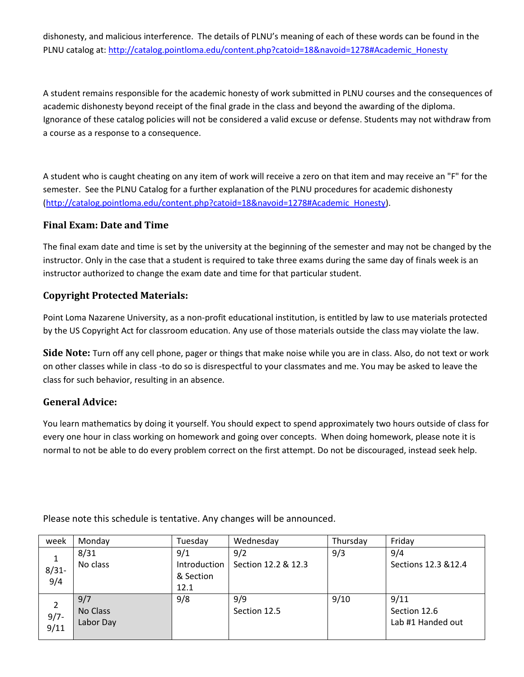dishonesty, and malicious interference. The details of PLNU's meaning of each of these words can be found in the PLNU catalog at[: http://catalog.pointloma.edu/content.php?catoid=18&navoid=1278#Academic\\_Honesty](http://catalog.pointloma.edu/content.php?catoid=18&navoid=1278#Academic_Honesty)

A student remains responsible for the academic honesty of work submitted in PLNU courses and the consequences of academic dishonesty beyond receipt of the final grade in the class and beyond the awarding of the diploma. Ignorance of these catalog policies will not be considered a valid excuse or defense. Students may not withdraw from a course as a response to a consequence.

A student who is caught cheating on any item of work will receive a zero on that item and may receive an "F" for the semester. See the PLNU Catalog for a further explanation of the PLNU procedures for academic dishonesty [\(http://catalog.pointloma.edu/content.php?catoid=18&navoid=1278#Academic\\_Honesty\)](http://catalog.pointloma.edu/content.php?catoid=18&navoid=1278#Academic_Honesty).

### **Final Exam: Date and Time**

The final exam date and time is set by the university at the beginning of the semester and may not be changed by the instructor. Only in the case that a student is required to take three exams during the same day of finals week is an instructor authorized to change the exam date and time for that particular student.

# **Copyright Protected Materials:**

Point Loma Nazarene University, as a non-profit educational institution, is entitled by law to use materials protected by the US Copyright Act for classroom education. Any use of those materials outside the class may violate the law.

**Side Note:** Turn off any cell phone, pager or things that make noise while you are in class. Also, do not text or work on other classes while in class -to do so is disrespectful to your classmates and me. You may be asked to leave the class for such behavior, resulting in an absence.

# **General Advice:**

You learn mathematics by doing it yourself. You should expect to spend approximately two hours outside of class for every one hour in class working on homework and going over concepts. When doing homework, please note it is normal to not be able to do every problem correct on the first attempt. Do not be discouraged, instead seek help.

| week           | Monday    | Tuesday      | Wednesday           | Thursday | Friday               |
|----------------|-----------|--------------|---------------------|----------|----------------------|
| 1              | 8/31      | 9/1          | 9/2                 | 9/3      | 9/4                  |
| $8/31 -$       | No class  | Introduction | Section 12.2 & 12.3 |          | Sections 12.3 & 12.4 |
| 9/4            |           | & Section    |                     |          |                      |
|                |           | 12.1         |                     |          |                      |
| $\overline{2}$ | 9/7       | 9/8          | 9/9                 | 9/10     | 9/11                 |
| $9/7 -$        | No Class  |              | Section 12.5        |          | Section 12.6         |
| 9/11           | Labor Day |              |                     |          | Lab #1 Handed out    |
|                |           |              |                     |          |                      |

Please note this schedule is tentative. Any changes will be announced.